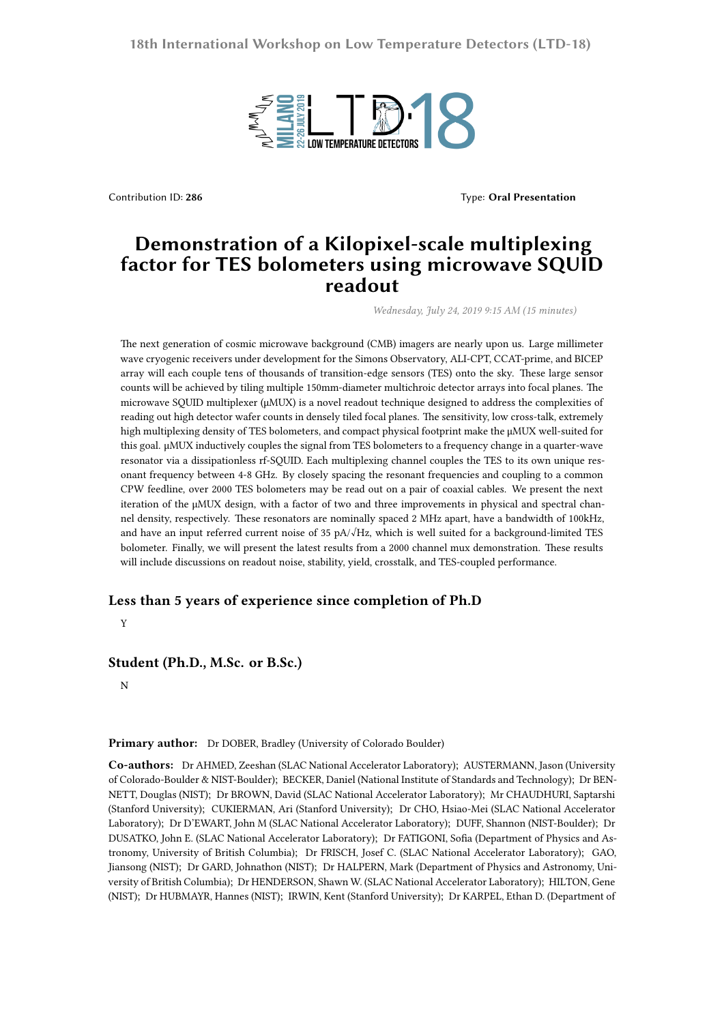

Contribution ID: 286 **Type: Oral Presentation Type: Oral Presentation** 

## **Demonstration of a Kilopixel-scale multiplexing factor for TES bolometers using microwave SQUID readout**

*Wednesday, July 24, 2019 9:15 AM (15 minutes)*

The next generation of cosmic microwave background (CMB) imagers are nearly upon us. Large millimeter wave cryogenic receivers under development for the Simons Observatory, ALI-CPT, CCAT-prime, and BICEP array will each couple tens of thousands of transition-edge sensors (TES) onto the sky. These large sensor counts will be achieved by tiling multiple 150mm-diameter multichroic detector arrays into focal planes. The microwave SQUID multiplexer (μMUX) is a novel readout technique designed to address the complexities of reading out high detector wafer counts in densely tiled focal planes. The sensitivity, low cross-talk, extremely high multiplexing density of TES bolometers, and compact physical footprint make the μMUX well-suited for this goal. μMUX inductively couples the signal from TES bolometers to a frequency change in a quarter-wave resonator via a dissipationless rf-SQUID. Each multiplexing channel couples the TES to its own unique resonant frequency between 4-8 GHz. By closely spacing the resonant frequencies and coupling to a common CPW feedline, over 2000 TES bolometers may be read out on a pair of coaxial cables. We present the next iteration of the μMUX design, with a factor of two and three improvements in physical and spectral channel density, respectively. These resonators are nominally spaced 2 MHz apart, have a bandwidth of 100kHz, and have an input referred current noise of 35 pA/√Hz, which is well suited for a background-limited TES bolometer. Finally, we will present the latest results from a 2000 channel mux demonstration. These results will include discussions on readout noise, stability, yield, crosstalk, and TES-coupled performance.

## **Less than 5 years of experience since completion of Ph.D**

Y

## **Student (Ph.D., M.Sc. or B.Sc.)**

N

## **Primary author:** Dr DOBER, Bradley (University of Colorado Boulder)

**Co-authors:** Dr AHMED, Zeeshan (SLAC National Accelerator Laboratory); AUSTERMANN, Jason (University of Colorado-Boulder & NIST-Boulder); BECKER, Daniel (National Institute of Standards and Technology); Dr BEN-NETT, Douglas (NIST); Dr BROWN, David (SLAC National Accelerator Laboratory); Mr CHAUDHURI, Saptarshi (Stanford University); CUKIERMAN, Ari (Stanford University); Dr CHO, Hsiao-Mei (SLAC National Accelerator Laboratory); Dr D'EWART, John M (SLAC National Accelerator Laboratory); DUFF, Shannon (NIST-Boulder); Dr DUSATKO, John E. (SLAC National Accelerator Laboratory); Dr FATIGONI, Sofia (Department of Physics and Astronomy, University of British Columbia); Dr FRISCH, Josef C. (SLAC National Accelerator Laboratory); GAO, Jiansong (NIST); Dr GARD, Johnathon (NIST); Dr HALPERN, Mark (Department of Physics and Astronomy, University of British Columbia); Dr HENDERSON, Shawn W. (SLAC National Accelerator Laboratory); HILTON, Gene (NIST); Dr HUBMAYR, Hannes (NIST); IRWIN, Kent (Stanford University); Dr KARPEL, Ethan D. (Department of